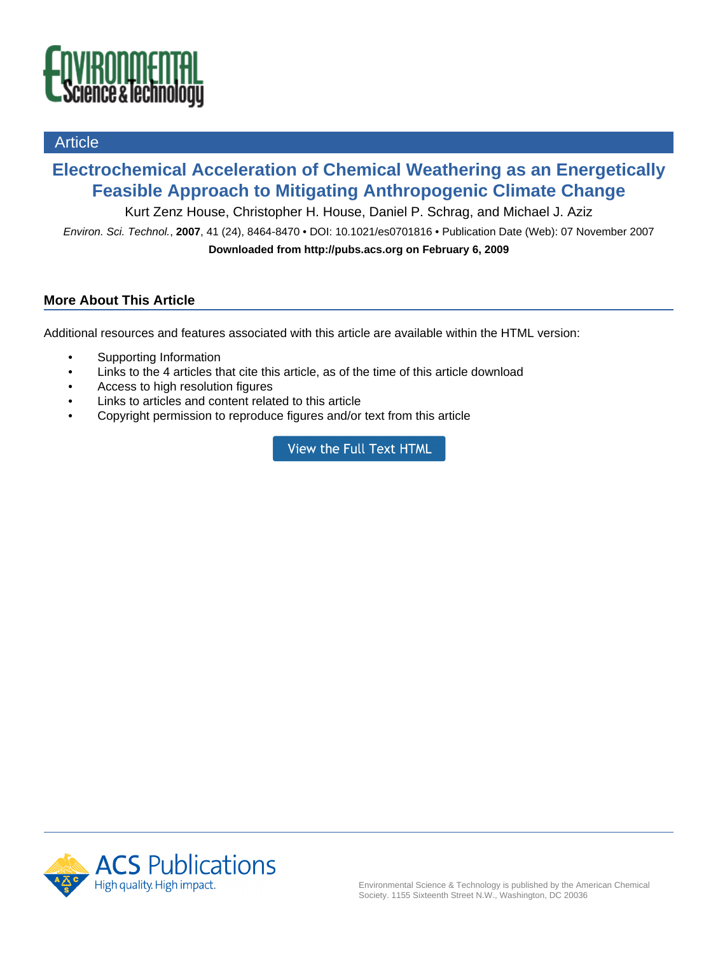

# **Article**

# **Electrochemical Acceleration of Chemical Weathering as an Energetically Feasible Approach to Mitigating Anthropogenic Climate Change**

Kurt Zenz House, Christopher H. House, Daniel P. Schrag, and Michael J. Aziz

Environ. Sci. Technol., **2007**, 41 (24), 8464-8470 • DOI: 10.1021/es0701816 • Publication Date (Web): 07 November 2007 **Downloaded from http://pubs.acs.org on February 6, 2009**

# **More About This Article**

Additional resources and features associated with this article are available within the HTML version:

- Supporting Information
- Links to the 4 articles that cite this article, as of the time of this article download
- Access to high resolution figures
- Links to articles and content related to this article
- Copyright permission to reproduce figures and/or text from this article

View the Full Text HTML

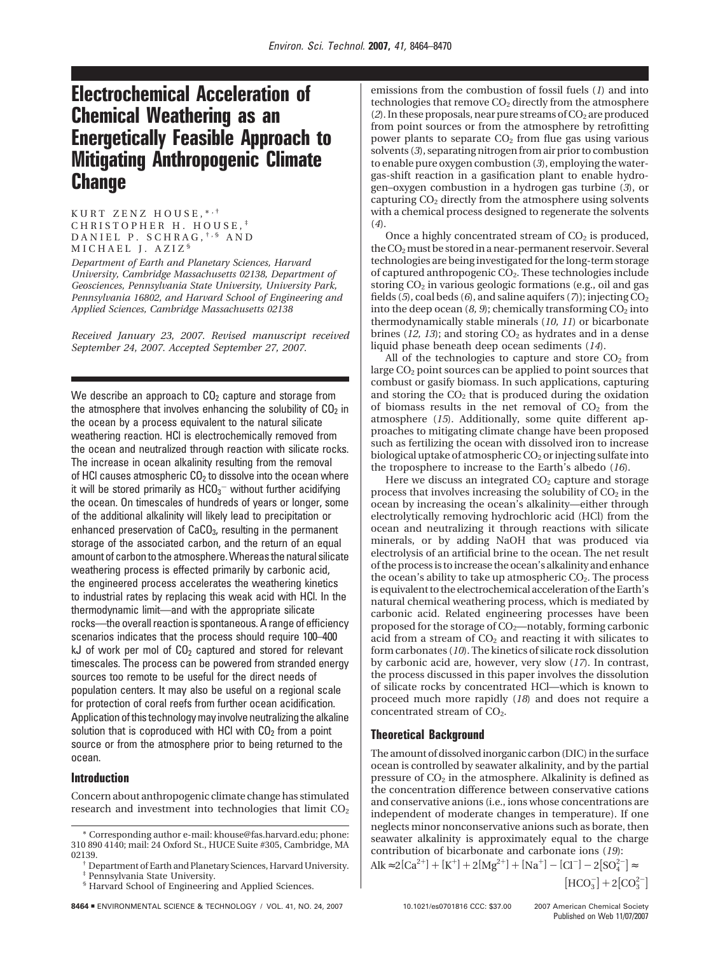# **Electrochemical Acceleration of Chemical Weathering as an Energetically Feasible Approach to Mitigating Anthropogenic Climate Change**

KURT ZENZ HOUSE, \*\*\* CHRISTOPHER H. HOUSE, ‡ DANIEL P. SCHRAG, †,§ AND MICHAEL J. AZIZ §

*Department of Earth and Planetary Sciences, Harvard University, Cambridge Massachusetts 02138, Department of Geosciences, Pennsylvania State University, University Park, Pennsylvania 16802, and Harvard School of Engineering and Applied Sciences, Cambridge Massachusetts 02138*

*Received January 23, 2007. Revised manuscript received September 24, 2007. Accepted September 27, 2007.*

We describe an approach to  $CO<sub>2</sub>$  capture and storage from the atmosphere that involves enhancing the solubility of  $CO<sub>2</sub>$  in the ocean by a process equivalent to the natural silicate weathering reaction. HCl is electrochemically removed from the ocean and neutralized through reaction with silicate rocks. The increase in ocean alkalinity resulting from the removal of HCl causes atmospheric  $CO<sub>2</sub>$  to dissolve into the ocean where it will be stored primarily as  $\mathsf{HCO_3}^-$  without further acidifying the ocean. On timescales of hundreds of years or longer, some of the additional alkalinity will likely lead to precipitation or enhanced preservation of CaCO<sub>3</sub>, resulting in the permanent storage of the associated carbon, and the return of an equal amount of carbon to the atmosphere. Whereas the natural silicate weathering process is effected primarily by carbonic acid, the engineered process accelerates the weathering kinetics to industrial rates by replacing this weak acid with HCl. In the thermodynamic limit—and with the appropriate silicate rocks—the overall reaction is spontaneous. A range of efficiency scenarios indicates that the process should require 100–400 kJ of work per mol of  $CO<sub>2</sub>$  captured and stored for relevant timescales. The process can be powered from stranded energy sources too remote to be useful for the direct needs of population centers. It may also be useful on a regional scale for protection of coral reefs from further ocean acidification. Application of this technology may involve neutralizing the alkaline solution that is coproduced with HCl with  $CO<sub>2</sub>$  from a point source or from the atmosphere prior to being returned to the ocean.

## **Introduction**

Concern about anthropogenic climate change has stimulated research and investment into technologies that limit CO<sub>2</sub>

8464 **= ENVIRONMENTAL SCIENCE & TECHNOLOGY / VOL. 41, NO. 24, 2007** 10.1021/es0701816 CCC: \$37.00 @ 2007 American Chemical Society

emissions from the combustion of fossil fuels (*1*) and into technologies that remove  $CO<sub>2</sub>$  directly from the atmosphere  $(2)$ . In these proposals, near pure streams of  $CO<sub>2</sub>$  are produced from point sources or from the atmosphere by retrofitting power plants to separate  $CO<sub>2</sub>$  from flue gas using various solvents (*3*), separating nitrogen from air prior to combustion to enable pure oxygen combustion (*3*), employing the watergas-shift reaction in a gasification plant to enable hydrogen–oxygen combustion in a hydrogen gas turbine (*3*), or capturing  $CO<sub>2</sub>$  directly from the atmosphere using solvents with a chemical process designed to regenerate the solvents (*4*).

Once a highly concentrated stream of  $CO<sub>2</sub>$  is produced, the  $CO<sub>2</sub>$  must be stored in a near-permanent reservoir. Several technologies are being investigated for the long-term storage of captured anthropogenic CO2. These technologies include storing CO<sub>2</sub> in various geologic formations (e.g., oil and gas fields (5), coal beds (6), and saline aquifers (7)); injecting CO<sub>2</sub> into the deep ocean  $(8, 9)$ ; chemically transforming  $CO<sub>2</sub>$  into thermodynamically stable minerals (*10, 11*) or bicarbonate brines  $(12, 13)$ ; and storing  $CO<sub>2</sub>$  as hydrates and in a dense liquid phase beneath deep ocean sediments (*14*).

All of the technologies to capture and store  $CO<sub>2</sub>$  from large CO<sub>2</sub> point sources can be applied to point sources that combust or gasify biomass. In such applications, capturing and storing the  $CO<sub>2</sub>$  that is produced during the oxidation of biomass results in the net removal of  $CO<sub>2</sub>$  from the atmosphere (*15*). Additionally, some quite different approaches to mitigating climate change have been proposed such as fertilizing the ocean with dissolved iron to increase biological uptake of atmospheric  $CO<sub>2</sub>$  or injecting sulfate into the troposphere to increase to the Earth's albedo (*16*).

Here we discuss an integrated  $CO<sub>2</sub>$  capture and storage process that involves increasing the solubility of  $CO<sub>2</sub>$  in the ocean by increasing the ocean's alkalinity—either through electrolytically removing hydrochloric acid (HCl) from the ocean and neutralizing it through reactions with silicate minerals, or by adding NaOH that was produced via electrolysis of an artificial brine to the ocean. The net result of the process is to increase the ocean's alkalinity and enhance the ocean's ability to take up atmospheric  $CO<sub>2</sub>$ . The process is equivalent to the electrochemical acceleration of the Earth's natural chemical weathering process, which is mediated by carbonic acid. Related engineering processes have been proposed for the storage of  $CO_2$ —notably, forming carbonic acid from a stream of  $CO<sub>2</sub>$  and reacting it with silicates to form carbonates (*10*). The kinetics of silicate rock dissolution by carbonic acid are, however, very slow (*17*). In contrast, the process discussed in this paper involves the dissolution of silicate rocks by concentrated HCl—which is known to proceed much more rapidly (*18*) and does not require a concentrated stream of CO<sub>2</sub>.

## **Theoretical Background**

The amount of dissolved inorganic carbon (DIC) in the surface ocean is controlled by seawater alkalinity, and by the partial pressure of  $CO<sub>2</sub>$  in the atmosphere. Alkalinity is defined as the concentration difference between conservative cations and conservative anions (i.e., ions whose concentrations are independent of moderate changes in temperature). If one neglects minor nonconservative anions such as borate, then seawater alkalinity is approximately equal to the charge contribution of bicarbonate and carbonate ions (*19*):

Alk ≈ 2[Ca<sup>2+</sup>] + [K<sup>+</sup>] + 2[Mg<sup>2+</sup>] + [Na<sup>+</sup>] – [Cl<sup>-</sup>] – 2[SO<sub>4</sub><sup>-</sup>] ≈

 $\left[\text{HCO}_3^-\right]+2\left[\text{CO}_3^{2-}\right]$ 

<sup>\*</sup> Corresponding author e-mail: khouse@fas.harvard.edu; phone: 310 890 4140; mail: 24 Oxford St., HUCE Suite #305, Cambridge, MA

 $\frac{1}{\sqrt{2}}$  Department of Earth and Planetary Sciences, Harvard University. Pennsylvania State University.

<sup>§</sup> Harvard School of Engineering and Applied Sciences.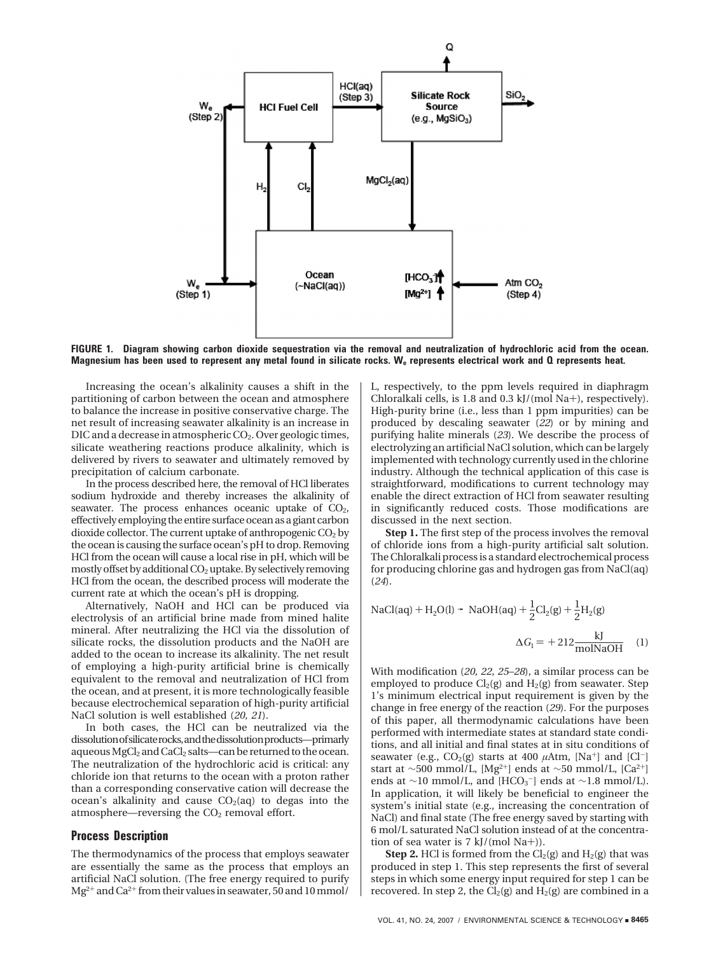

**FIGURE 1. Diagram showing carbon dioxide sequestration via the removal and neutralization of hydrochloric acid from the ocean. Magnesium has been used to represent any metal found in silicate rocks. We represents electrical work and Q represents heat.**

Increasing the ocean's alkalinity causes a shift in the partitioning of carbon between the ocean and atmosphere to balance the increase in positive conservative charge. The net result of increasing seawater alkalinity is an increase in DIC and a decrease in atmospheric  $CO<sub>2</sub>$ . Over geologic times, silicate weathering reactions produce alkalinity, which is delivered by rivers to seawater and ultimately removed by precipitation of calcium carbonate.

In the process described here, the removal of HCl liberates sodium hydroxide and thereby increases the alkalinity of seawater. The process enhances oceanic uptake of  $CO<sub>2</sub>$ , effectively employing the entire surface ocean as a giant carbon dioxide collector. The current uptake of anthropogenic  $CO<sub>2</sub>$  by the ocean is causing the surface ocean's pH to drop. Removing HCl from the ocean will cause a local rise in pH, which will be mostly offset by additional  $CO<sub>2</sub>$  uptake. By selectively removing HCl from the ocean, the described process will moderate the current rate at which the ocean's pH is dropping.

Alternatively, NaOH and HCl can be produced via electrolysis of an artificial brine made from mined halite mineral. After neutralizing the HCl via the dissolution of silicate rocks, the dissolution products and the NaOH are added to the ocean to increase its alkalinity. The net result of employing a high-purity artificial brine is chemically equivalent to the removal and neutralization of HCl from the ocean, and at present, it is more technologically feasible because electrochemical separation of high-purity artificial NaCl solution is well established (*20, 21*).

In both cases, the HCl can be neutralized via the dissolutionofsilicaterocks,andthedissolutionproducts—primarly aqueous MgCl<sub>2</sub> and CaCl<sub>2</sub> salts—can be returned to the ocean. The neutralization of the hydrochloric acid is critical: any chloride ion that returns to the ocean with a proton rather than a corresponding conservative cation will decrease the ocean's alkalinity and cause  $CO<sub>2</sub>(aq)$  to degas into the atmosphere—reversing the  $CO<sub>2</sub>$  removal effort.

#### **Process Description**

The thermodynamics of the process that employs seawater are essentially the same as the process that employs an artificial NaCl solution. (The free energy required to purify  $Mg^{2+}$  and Ca<sup>2+</sup> from their values in seawater, 50 and 10 mmol/

L, respectively, to the ppm levels required in diaphragm Chloralkali cells, is 1.8 and 0.3 kJ/(mol Na+), respectively). High-purity brine (i.e., less than 1 ppm impurities) can be produced by descaling seawater (*22*) or by mining and purifying halite minerals (*23*). We describe the process of electrolyzing an artificial NaCl solution, which can be largely implemented with technology currently used in the chlorine industry. Although the technical application of this case is straightforward, modifications to current technology may enable the direct extraction of HCl from seawater resulting in significantly reduced costs. Those modifications are discussed in the next section.

**Step 1.** The first step of the process involves the removal of chloride ions from a high-purity artificial salt solution. The Chloralkali process is a standard electrochemical process for producing chlorine gas and hydrogen gas from NaCl(aq) (*24*).

$$
NaCl(aq) + H_2O(l) \rightarrow NaOH(aq) + \frac{1}{2}Cl_2(g) + \frac{1}{2}H_2(g)
$$

$$
\Delta G_1 = +212 \frac{kJ}{molNaOH}
$$
 (1)

With modification (*20, 22, 25–28*), a similar process can be employed to produce  $Cl_2(g)$  and  $H_2(g)$  from seawater. Step 1's minimum electrical input requirement is given by the change in free energy of the reaction (*29*). For the purposes of this paper, all thermodynamic calculations have been performed with intermediate states at standard state conditions, and all initial and final states at in situ conditions of seawater (e.g.,  $CO<sub>2</sub>(g)$  starts at 400  $\mu$ Atm, [Na<sup>+</sup>] and [Cl<sup>-</sup>] start at ∼500 mmol/L, [Mg<sup>2+</sup>] ends at ∼50 mmol/L, [Ca<sup>2+</sup>] ends at ∼10 mmol/L, and [HCO<sub>3</sub><sup>-</sup>] ends at ∼1.8 mmol/L). In application, it will likely be beneficial to engineer the system's initial state (e.g., increasing the concentration of NaCl) and final state (The free energy saved by starting with 6 mol/L saturated NaCl solution instead of at the concentration of sea water is 7 kJ/(mol Na+)).

**Step 2.** HCl is formed from the  $Cl_2(g)$  and  $H_2(g)$  that was produced in step 1. This step represents the first of several steps in which some energy input required for step 1 can be recovered. In step 2, the  $Cl<sub>2</sub>(g)$  and  $H<sub>2</sub>(g)$  are combined in a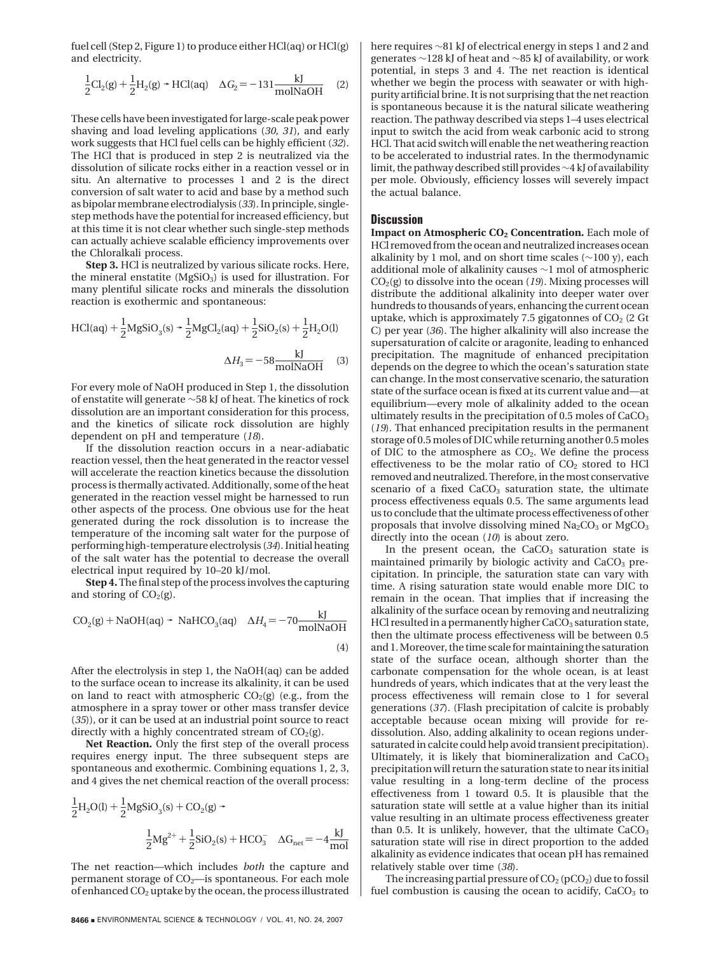fuel cell (Step 2, Figure 1) to produce either HCl(aq) or HCl(g) and electricity.

$$
\frac{1}{2}Cl_2(g) + \frac{1}{2}H_2(g) \rightarrow HCl(aq) \quad \Delta G_2 = -131 \frac{kJ}{molNaOH} \tag{2}
$$

These cells have been investigated for large-scale peak power shaving and load leveling applications (*30, 31*), and early work suggests that HCl fuel cells can be highly efficient (*32*). The HCl that is produced in step 2 is neutralized via the dissolution of silicate rocks either in a reaction vessel or in situ. An alternative to processes 1 and 2 is the direct conversion of salt water to acid and base by a method such as bipolar membrane electrodialysis (*33*). In principle, singlestep methods have the potential for increased efficiency, but at this time it is not clear whether such single-step methods can actually achieve scalable efficiency improvements over the Chloralkali process.

**Step 3.** HCl is neutralized by various silicate rocks. Here, the mineral enstatite (MgSiO<sub>3</sub>) is used for illustration. For many plentiful silicate rocks and minerals the dissolution reaction is exothermic and spontaneous:

$$
HCl(aq) + \frac{1}{2}MgSiO_3(s) + \frac{1}{2}MgCl_2(aq) + \frac{1}{2}SiO_2(s) + \frac{1}{2}H_2O(l)
$$

$$
\Delta H_3 = -58 \frac{\text{kJ}}{\text{molNaOH}} \quad (3)
$$

For every mole of NaOH produced in Step 1, the dissolution of enstatite will generate ∼58 kJ of heat. The kinetics of rock dissolution are an important consideration for this process, and the kinetics of silicate rock dissolution are highly dependent on pH and temperature (*18*).

If the dissolution reaction occurs in a near-adiabatic reaction vessel, then the heat generated in the reactor vessel will accelerate the reaction kinetics because the dissolution process is thermally activated. Additionally, some of the heat generated in the reaction vessel might be harnessed to run other aspects of the process. One obvious use for the heat generated during the rock dissolution is to increase the temperature of the incoming salt water for the purpose of performing high-temperature electrolysis (*34*). Initial heating of the salt water has the potential to decrease the overall electrical input required by 10–20 kJ/mol.

**Step 4.** The final step of the process involves the capturing and storing of  $CO<sub>2</sub>(g)$ .

$$
CO2(g) + NaOH(aq) \rightarrow NaHCO3(aq) \quad \Delta H4 = -70 \frac{\text{kJ}}{\text{molNaOH}}
$$
\n(4)

After the electrolysis in step 1, the NaOH(aq) can be added to the surface ocean to increase its alkalinity, it can be used on land to react with atmospheric  $CO<sub>2</sub>(g)$  (e.g., from the atmosphere in a spray tower or other mass transfer device (*35*)), or it can be used at an industrial point source to react directly with a highly concentrated stream of  $CO<sub>2</sub>(g)$ .

**Net Reaction.** Only the first step of the overall process requires energy input. The three subsequent steps are spontaneous and exothermic. Combining equations 1, 2, 3, and 4 gives the net chemical reaction of the overall process:

$$
\frac{1}{2}H_2O(l) + \frac{1}{2}MgSiO_3(s) + CO_2(g) +
$$
  

$$
\frac{1}{2}Mg^{2+} + \frac{1}{2}SiO_2(s) + HCO_3^- \quad \Delta G_{net} = -4\frac{kJ}{mol}
$$

The net reaction—which includes *both* the capture and permanent storage of  $CO<sub>2</sub>$ —is spontaneous. For each mole of enhanced CO2 uptake by the ocean, the process illustrated here requires ∼81 kJ of electrical energy in steps 1 and 2 and generates ∼128 kJ of heat and ∼85 kJ of availability, or work potential, in steps 3 and 4. The net reaction is identical whether we begin the process with seawater or with highpurity artificial brine. It is not surprising that the net reaction is spontaneous because it is the natural silicate weathering reaction. The pathway described via steps 1–4 uses electrical input to switch the acid from weak carbonic acid to strong HCl. That acid switch will enable the net weathering reaction to be accelerated to industrial rates. In the thermodynamic limit, the pathway described still provides∼4 kJ of availability per mole. Obviously, efficiency losses will severely impact the actual balance.

### **Discussion**

**Impact on Atmospheric CO2 Concentration.** Each mole of HCl removed from the ocean and neutralized increases ocean alkalinity by 1 mol, and on short time scales (∼100 y), each additional mole of alkalinity causes ∼1 mol of atmospheric  $CO<sub>2</sub>(g)$  to dissolve into the ocean (19). Mixing processes will distribute the additional alkalinity into deeper water over hundreds to thousands of years, enhancing the current ocean uptake, which is approximately 7.5 gigatonnes of  $CO<sub>2</sub>$  (2 Gt C) per year (*36*). The higher alkalinity will also increase the supersaturation of calcite or aragonite, leading to enhanced precipitation. The magnitude of enhanced precipitation depends on the degree to which the ocean's saturation state can change. In the most conservative scenario, the saturation state of the surface ocean is fixed at its current value and—at equilibrium—every mole of alkalinity added to the ocean ultimately results in the precipitation of  $0.5$  moles of  $CaCO<sub>3</sub>$ (*19*). That enhanced precipitation results in the permanent storage of 0.5 moles of DIC while returning another 0.5 moles of DIC to the atmosphere as  $CO<sub>2</sub>$ . We define the process effectiveness to be the molar ratio of  $CO<sub>2</sub>$  stored to HCl removed and neutralized. Therefore, in the most conservative scenario of a fixed CaCO<sub>3</sub> saturation state, the ultimate process effectiveness equals 0.5. The same arguments lead us to conclude that the ultimate process effectiveness of other proposals that involve dissolving mined  $Na<sub>2</sub>CO<sub>3</sub>$  or  $MgCO<sub>3</sub>$ directly into the ocean (*10*) is about zero.

In the present ocean, the  $CaCO<sub>3</sub>$  saturation state is maintained primarily by biologic activity and CaCO<sub>3</sub> precipitation. In principle, the saturation state can vary with time. A rising saturation state would enable more DIC to remain in the ocean. That implies that if increasing the alkalinity of the surface ocean by removing and neutralizing HCl resulted in a permanently higher  $CaCO<sub>3</sub>$  saturation state, then the ultimate process effectiveness will be between 0.5 and 1. Moreover, the time scale for maintaining the saturation state of the surface ocean, although shorter than the carbonate compensation for the whole ocean, is at least hundreds of years, which indicates that at the very least the process effectiveness will remain close to 1 for several generations (*37*). (Flash precipitation of calcite is probably acceptable because ocean mixing will provide for redissolution. Also, adding alkalinity to ocean regions undersaturated in calcite could help avoid transient precipitation). Ultimately, it is likely that biomineralization and  $CaCO<sub>3</sub>$ precipitation will return the saturation state to near its initial value resulting in a long-term decline of the process effectiveness from 1 toward 0.5. It is plausible that the saturation state will settle at a value higher than its initial value resulting in an ultimate process effectiveness greater than 0.5. It is unlikely, however, that the ultimate  $CaCO<sub>3</sub>$ saturation state will rise in direct proportion to the added alkalinity as evidence indicates that ocean pH has remained relatively stable over time (*38*).

The increasing partial pressure of  $CO<sub>2</sub>$  (pCO<sub>2</sub>) due to fossil fuel combustion is causing the ocean to acidify,  $CaCO<sub>3</sub>$  to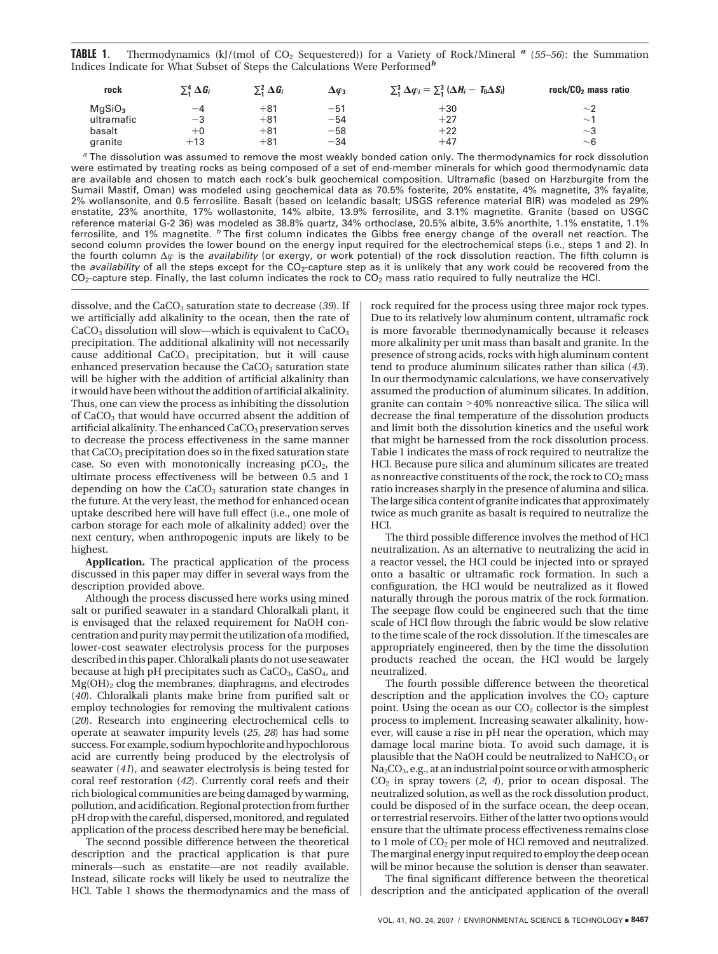**TABLE 1.** Thermodynamics (kJ/(mol of CO<sub>2</sub> Sequestered)) for a Variety of Rock/Mineral <sup>*a*</sup> (55–56): the Summation Indices Indicate for What Subset of Steps the Calculations Were Performed*<sup>b</sup>*

| rock               | $\Sigma^4$ $\Delta G_i$ | $\Sigma^2$ $\Delta G_i$ | $\Delta\varphi_3$ | $\Sigma_1^3 \Delta \varphi_i = \Sigma_1^3 (\Delta H_i - T_0 \Delta S_i)$                                                       | rock/CO <sub>2</sub> mass ratio |
|--------------------|-------------------------|-------------------------|-------------------|--------------------------------------------------------------------------------------------------------------------------------|---------------------------------|
| MaSiO <sub>3</sub> | -4                      | $+81$                   | $-51$             | $+30$                                                                                                                          | $\sim$ 2                        |
| ultramafic         | $-3$                    | $+81$                   | $-54$             | $+27$                                                                                                                          | $\sim$ 1                        |
| basalt             | $+0$                    | $+81$                   | $-58$             | $+22$                                                                                                                          | $\sim$ 3                        |
| aranite            | $+13$                   | $+81$                   | $-34$             | $+47$                                                                                                                          | $~\sim$ 6                       |
|                    |                         |                         |                   | <sup>a</sup> The dissolution was assumed to remove the most weakly bonded cation only. The thermodynamics for rock dissolution |                                 |

were estimated by treating rocks as being composed of a set of end-member minerals for which good thermodynamic data are available and chosen to match each rock's bulk geochemical composition. Ultramafic (based on Harzburgite from the Sumail Mastif, Oman) was modeled using geochemical data as 70.5% fosterite, 20% enstatite, 4% magnetite, 3% fayalite, 2% wollansonite, and 0.5 ferrosilite. Basalt (based on Icelandic basalt; USGS reference material BIR) was modeled as 29% enstatite, 23% anorthite, 17% wollastonite, 14% albite, 13.9% ferrosilite, and 3.1% magnetite. Granite (based on USGC reference material G-2 36) was modeled as 38.8% quartz, 34% orthoclase, 20.5% albite, 3.5% anorthite, 1.1% enstatite, 1.1% ferrosilite, and 1% magnetite. *<sup>b</sup>* The first column indicates the Gibbs free energy change of the overall net reaction. The second column provides the lower bound on the energy input required for the electrochemical steps (i.e., steps 1 and 2). In the fourth column ∆<sub> $\varphi$ </sub> is the *availability* (or exergy, or work potential) of the rock dissolution reaction. The fifth column is the *availability* of all the steps except for the CO<sub>2</sub>-capture step as it is unlikely that any work could be recovered from the  $CO<sub>2</sub>$ -capture step. Finally, the last column indicates the rock to  $CO<sub>2</sub>$  mass ratio required to fully neutralize the HCl.

dissolve, and the CaCO3 saturation state to decrease (*39*). If we artificially add alkalinity to the ocean, then the rate of  $CaCO<sub>3</sub>$  dissolution will slow—which is equivalent to  $CaCO<sub>3</sub>$ precipitation. The additional alkalinity will not necessarily cause additional  $CaCO<sub>3</sub>$  precipitation, but it will cause enhanced preservation because the CaCO<sub>3</sub> saturation state will be higher with the addition of artificial alkalinity than it would have been without the addition of artificial alkalinity. Thus, one can view the process as inhibiting the dissolution of CaCO3 that would have occurred absent the addition of artificial alkalinity. The enhanced  $CaCO<sub>3</sub>$  preservation serves to decrease the process effectiveness in the same manner that CaCO<sub>3</sub> precipitation does so in the fixed saturation state case. So even with monotonically increasing  $pCO<sub>2</sub>$ , the ultimate process effectiveness will be between 0.5 and 1 depending on how the  $CaCO<sub>3</sub>$  saturation state changes in the future. At the very least, the method for enhanced ocean uptake described here will have full effect (i.e., one mole of carbon storage for each mole of alkalinity added) over the next century, when anthropogenic inputs are likely to be highest.

**Application.** The practical application of the process discussed in this paper may differ in several ways from the description provided above.

Although the process discussed here works using mined salt or purified seawater in a standard Chloralkali plant, it is envisaged that the relaxed requirement for NaOH concentration and purity may permit the utilization of a modified, lower-cost seawater electrolysis process for the purposes described in this paper. Chloralkali plants do not use seawater because at high pH precipitates such as CaCO<sub>3</sub>, CaSO<sub>4</sub>, and Mg(OH)2 clog the membranes, diaphragms, and electrodes (*40*). Chloralkali plants make brine from purified salt or employ technologies for removing the multivalent cations (*20*). Research into engineering electrochemical cells to operate at seawater impurity levels (*25, 28*) has had some success. For example, sodium hypochlorite and hypochlorous acid are currently being produced by the electrolysis of seawater (*41*), and seawater electrolysis is being tested for coral reef restoration (*42*). Currently coral reefs and their rich biological communities are being damaged by warming, pollution, and acidification. Regional protection from further pH drop with the careful, dispersed, monitored, and regulated application of the process described here may be beneficial.

The second possible difference between the theoretical description and the practical application is that pure minerals—such as enstatite—are not readily available. Instead, silicate rocks will likely be used to neutralize the HCl. Table 1 shows the thermodynamics and the mass of rock required for the process using three major rock types. Due to its relatively low aluminum content, ultramafic rock is more favorable thermodynamically because it releases more alkalinity per unit mass than basalt and granite. In the presence of strong acids, rocks with high aluminum content tend to produce aluminum silicates rather than silica (*43*). In our thermodynamic calculations, we have conservatively assumed the production of aluminum silicates. In addition, granite can contain >40% nonreactive silica. The silica will decrease the final temperature of the dissolution products and limit both the dissolution kinetics and the useful work that might be harnessed from the rock dissolution process. Table 1 indicates the mass of rock required to neutralize the HCl. Because pure silica and aluminum silicates are treated as nonreactive constituents of the rock, the rock to  $CO<sub>2</sub>$  mass ratio increases sharply in the presence of alumina and silica. The large silica content of granite indicates that approximately twice as much granite as basalt is required to neutralize the HCl.

The third possible difference involves the method of HCl neutralization. As an alternative to neutralizing the acid in a reactor vessel, the HCl could be injected into or sprayed onto a basaltic or ultramafic rock formation. In such a configuration, the HCl would be neutralized as it flowed naturally through the porous matrix of the rock formation. The seepage flow could be engineered such that the time scale of HCl flow through the fabric would be slow relative to the time scale of the rock dissolution. If the timescales are appropriately engineered, then by the time the dissolution products reached the ocean, the HCl would be largely neutralized.

The fourth possible difference between the theoretical description and the application involves the  $CO<sub>2</sub>$  capture point. Using the ocean as our  $CO<sub>2</sub>$  collector is the simplest process to implement. Increasing seawater alkalinity, however, will cause a rise in pH near the operation, which may damage local marine biota. To avoid such damage, it is plausible that the NaOH could be neutralized to NaHCO<sub>3</sub> or Na2CO3, e.g., at an industrial point source or with atmospheric CO2 in spray towers (*2, 4*), prior to ocean disposal. The neutralized solution, as well as the rock dissolution product, could be disposed of in the surface ocean, the deep ocean, or terrestrial reservoirs. Either of the latter two options would ensure that the ultimate process effectiveness remains close to 1 mole of CO<sub>2</sub> per mole of HCl removed and neutralized. The marginal energy input required to employ the deep ocean will be minor because the solution is denser than seawater.

The final significant difference between the theoretical description and the anticipated application of the overall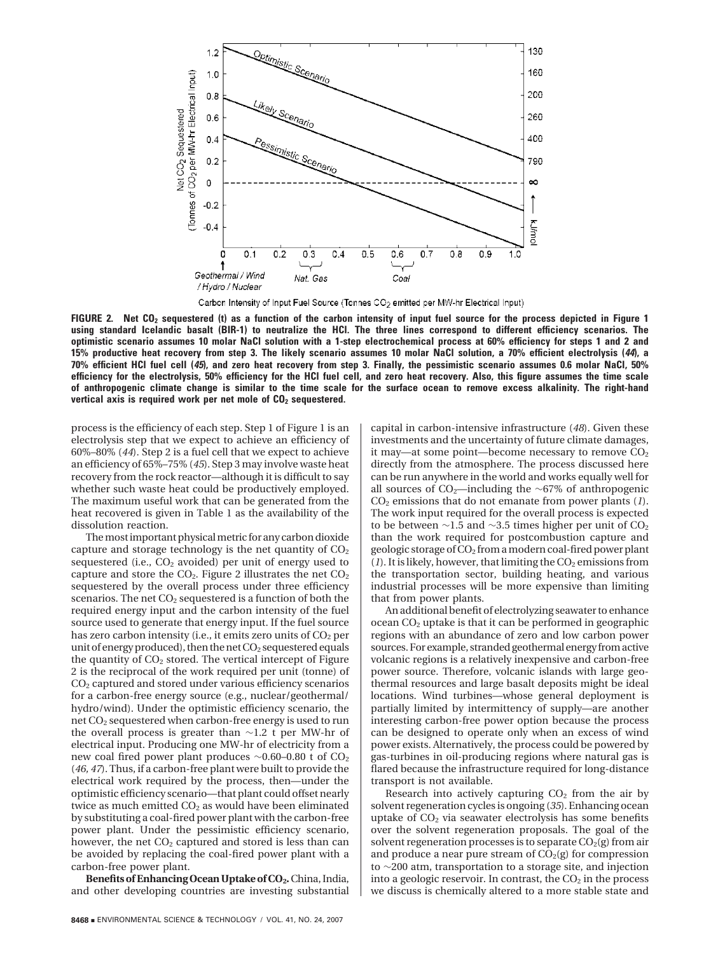

Carbon Intensity of Input Fuel Source (Tonnes CO<sub>2</sub> emitted per MW-hr Electrical Input)

**FIGURE 2. Net CO2 sequestered (t) as a function of the carbon intensity of input fuel source for the process depicted in Figure 1 using standard Icelandic basalt (BIR-1) to neutralize the HCl. The three lines correspond to different efficiency scenarios. The optimistic scenario assumes 10 molar NaCl solution with a 1-step electrochemical process at 60% efficiency for steps 1 and 2 and 15% productive heat recovery from step 3. The likely scenario assumes 10 molar NaCl solution, a 70% efficient electrolysis (***44***), a 70% efficient HCl fuel cell (***45***), and zero heat recovery from step 3. Finally, the pessimistic scenario assumes 0.6 molar NaCl, 50% efficiency for the electrolysis, 50% efficiency for the HCl fuel cell, and zero heat recovery. Also, this figure assumes the time scale of anthropogenic climate change is similar to the time scale for the surface ocean to remove excess alkalinity. The right-hand** vertical axis is required work per net mole of  $CO<sub>2</sub>$  sequestered.

process is the efficiency of each step. Step 1 of Figure 1 is an electrolysis step that we expect to achieve an efficiency of 60%–80% (*44*). Step 2 is a fuel cell that we expect to achieve an efficiency of 65%–75% (*45*). Step 3 may involve waste heat recovery from the rock reactor—although it is difficult to say whether such waste heat could be productively employed. The maximum useful work that can be generated from the heat recovered is given in Table 1 as the availability of the dissolution reaction.

The most important physical metric for any carbon dioxide capture and storage technology is the net quantity of  $CO<sub>2</sub>$ sequestered (i.e.,  $CO<sub>2</sub>$  avoided) per unit of energy used to capture and store the  $CO<sub>2</sub>$ . Figure 2 illustrates the net  $CO<sub>2</sub>$ sequestered by the overall process under three efficiency scenarios. The net CO<sub>2</sub> sequestered is a function of both the required energy input and the carbon intensity of the fuel source used to generate that energy input. If the fuel source has zero carbon intensity (i.e., it emits zero units of CO<sub>2</sub> per unit of energy produced), then the net  $CO<sub>2</sub>$  sequestered equals the quantity of  $CO<sub>2</sub>$  stored. The vertical intercept of Figure 2 is the reciprocal of the work required per unit (tonne) of CO2 captured and stored under various efficiency scenarios for a carbon-free energy source (e.g., nuclear/geothermal/ hydro/wind). Under the optimistic efficiency scenario, the net CO2 sequestered when carbon-free energy is used to run the overall process is greater than ∼1.2 t per MW-hr of electrical input. Producing one MW-hr of electricity from a new coal fired power plant produces ∼0.60–0.80 t of CO<sub>2</sub> (*46, 47*). Thus, if a carbon-free plant were built to provide the electrical work required by the process, then—under the optimistic efficiency scenario—that plant could offset nearly twice as much emitted CO<sub>2</sub> as would have been eliminated by substituting a coal-fired power plant with the carbon-free power plant. Under the pessimistic efficiency scenario, however, the net  $CO<sub>2</sub>$  captured and stored is less than can be avoided by replacing the coal-fired power plant with a carbon-free power plant.

Benefits of Enhancing Ocean Uptake of CO<sub>2</sub>. China, India, and other developing countries are investing substantial

**8468** ■ ENVIRONMENTAL SCIENCE & TECHNOLOGY / VOL. 41, NO. 24, 2007

capital in carbon-intensive infrastructure (*48*). Given these investments and the uncertainty of future climate damages, it may—at some point—become necessary to remove  $CO<sub>2</sub>$ directly from the atmosphere. The process discussed here can be run anywhere in the world and works equally well for all sources of CO2—including the ∼67% of anthropogenic CO2 emissions that do not emanate from power plants (*1*). The work input required for the overall process is expected to be between ∼1.5 and ∼3.5 times higher per unit of  $CO<sub>2</sub>$ than the work required for postcombustion capture and geologic storage of CO<sub>2</sub> from a modern coal-fired power plant  $(1)$ . It is likely, however, that limiting the  $CO<sub>2</sub>$  emissions from the transportation sector, building heating, and various industrial processes will be more expensive than limiting that from power plants.

An additional benefit of electrolyzing seawater to enhance  $ocean CO<sub>2</sub> uptake is that it can be performed in geographic$ regions with an abundance of zero and low carbon power sources. For example, stranded geothermal energy from active volcanic regions is a relatively inexpensive and carbon-free power source. Therefore, volcanic islands with large geothermal resources and large basalt deposits might be ideal locations. Wind turbines—whose general deployment is partially limited by intermittency of supply—are another interesting carbon-free power option because the process can be designed to operate only when an excess of wind power exists. Alternatively, the process could be powered by gas-turbines in oil-producing regions where natural gas is flared because the infrastructure required for long-distance transport is not available.

Research into actively capturing  $CO<sub>2</sub>$  from the air by solvent regeneration cycles is ongoing (*35*). Enhancing ocean uptake of  $CO<sub>2</sub>$  via seawater electrolysis has some benefits over the solvent regeneration proposals. The goal of the solvent regeneration processes is to separate  $CO<sub>2</sub>(g)$  from air and produce a near pure stream of  $CO<sub>2</sub>(g)$  for compression to ∼200 atm, transportation to a storage site, and injection into a geologic reservoir. In contrast, the  $CO<sub>2</sub>$  in the process we discuss is chemically altered to a more stable state and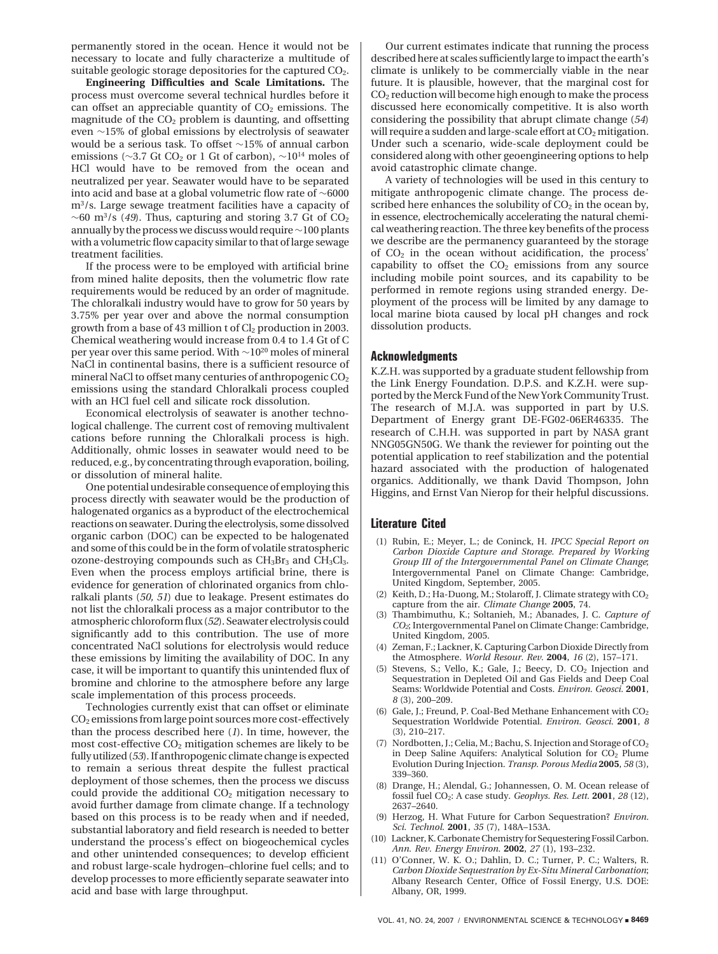permanently stored in the ocean. Hence it would not be necessary to locate and fully characterize a multitude of suitable geologic storage depositories for the captured CO<sub>2</sub>.

**Engineering Difficulties and Scale Limitations.** The process must overcome several technical hurdles before it can offset an appreciable quantity of  $CO<sub>2</sub>$  emissions. The magnitude of the  $CO<sub>2</sub>$  problem is daunting, and offsetting even ∼15% of global emissions by electrolysis of seawater would be a serious task. To offset ∼15% of annual carbon emissions ( $\sim$ 3.7 Gt CO<sub>2</sub> or 1 Gt of carbon),  $\sim$ 10<sup>14</sup> moles of HCl would have to be removed from the ocean and neutralized per year. Seawater would have to be separated into acid and base at a global volumetric flow rate of ∼6000 m3/s. Large sewage treatment facilities have a capacity of  $\sim$ 60 m<sup>3</sup>/s (49). Thus, capturing and storing 3.7 Gt of CO<sub>2</sub> annually by the process we discuss would require∼100 plants with a volumetric flow capacity similar to that of large sewage treatment facilities.

If the process were to be employed with artificial brine from mined halite deposits, then the volumetric flow rate requirements would be reduced by an order of magnitude. The chloralkali industry would have to grow for 50 years by 3.75% per year over and above the normal consumption growth from a base of 43 million t of Cl<sub>2</sub> production in 2003. Chemical weathering would increase from 0.4 to 1.4 Gt of C per year over this same period. With ∼1020 moles of mineral NaCl in continental basins, there is a sufficient resource of mineral NaCl to offset many centuries of anthropogenic CO2 emissions using the standard Chloralkali process coupled with an HCl fuel cell and silicate rock dissolution.

Economical electrolysis of seawater is another technological challenge. The current cost of removing multivalent cations before running the Chloralkali process is high. Additionally, ohmic losses in seawater would need to be reduced, e.g., by concentrating through evaporation, boiling, or dissolution of mineral halite.

One potential undesirable consequence of employing this process directly with seawater would be the production of halogenated organics as a byproduct of the electrochemical reactions on seawater. During the electrolysis, some dissolved organic carbon (DOC) can be expected to be halogenated and some of this could be in the form of volatile stratospheric ozone-destroying compounds such as  $CH_3Br_3$  and  $CH_3Cl_3$ . Even when the process employs artificial brine, there is evidence for generation of chlorinated organics from chloralkali plants (*50, 51*) due to leakage. Present estimates do not list the chloralkali process as a major contributor to the atmospheric chloroform flux (*52*). Seawater electrolysis could significantly add to this contribution. The use of more concentrated NaCl solutions for electrolysis would reduce these emissions by limiting the availability of DOC. In any case, it will be important to quantify this unintended flux of bromine and chlorine to the atmosphere before any large scale implementation of this process proceeds.

Technologies currently exist that can offset or eliminate CO2 emissions from large point sources more cost-effectively than the process described here (*1*). In time, however, the most cost-effective CO<sub>2</sub> mitigation schemes are likely to be fully utilized (*53*). If anthropogenic climate change is expected to remain a serious threat despite the fullest practical deployment of those schemes, then the process we discuss could provide the additional  $CO<sub>2</sub>$  mitigation necessary to avoid further damage from climate change. If a technology based on this process is to be ready when and if needed, substantial laboratory and field research is needed to better understand the process's effect on biogeochemical cycles and other unintended consequences; to develop efficient and robust large-scale hydrogen–chlorine fuel cells; and to develop processes to more efficiently separate seawater into acid and base with large throughput.

Our current estimates indicate that running the process described here at scales sufficiently large to impact the earth's climate is unlikely to be commercially viable in the near future. It is plausible, however, that the marginal cost for  $CO<sub>2</sub>$  reduction will become high enough to make the process discussed here economically competitive. It is also worth considering the possibility that abrupt climate change (*54*) will require a sudden and large-scale effort at  $\rm CO_2$  mitigation. Under such a scenario, wide-scale deployment could be considered along with other geoengineering options to help avoid catastrophic climate change.

A variety of technologies will be used in this century to mitigate anthropogenic climate change. The process described here enhances the solubility of  $CO<sub>2</sub>$  in the ocean by, in essence, electrochemically accelerating the natural chemical weathering reaction. The three key benefits of the process we describe are the permanency guaranteed by the storage of  $CO<sub>2</sub>$  in the ocean without acidification, the process' capability to offset the  $CO<sub>2</sub>$  emissions from any source including mobile point sources, and its capability to be performed in remote regions using stranded energy. Deployment of the process will be limited by any damage to local marine biota caused by local pH changes and rock dissolution products.

### **Acknowledgments**

K.Z.H. was supported by a graduate student fellowship from the Link Energy Foundation. D.P.S. and K.Z.H. were supported by the Merck Fund of the New York Community Trust. The research of M.J.A. was supported in part by U.S. Department of Energy grant DE-FG02-06ER46335. The research of C.H.H. was supported in part by NASA grant NNG05GN50G. We thank the reviewer for pointing out the potential application to reef stabilization and the potential hazard associated with the production of halogenated organics. Additionally, we thank David Thompson, John Higgins, and Ernst Van Nierop for their helpful discussions.

#### **Literature Cited**

- (1) Rubin, E.; Meyer, L.; de Coninck, H. *IPCC Special Report on Carbon Dioxide Capture and Storage. Prepared by Working Group III of the Intergovernmental Panel on Climate Change*; Intergovernmental Panel on Climate Change: Cambridge, United Kingdom, September, 2005.
- (2) Keith, D.; Ha-Duong, M.; Stolaroff, J. Climate strategy with  $CO<sub>2</sub>$ capture from the air. *Climate Change* **2005**, 74.
- (3) Thambimuthu, K.; Soltanieh, M.; Abanades, J. C. *Capture of CO2*; Intergovernmental Panel on Climate Change: Cambridge, United Kingdom, 2005.
- (4) Zeman, F.; Lackner, K. Capturing Carbon Dioxide Directly from the Atmosphere. *World Resour. Rev.* **2004**, *16* (2), 157–171.
- Stevens, S.; Vello, K.; Gale, J.; Beecy, D. CO<sub>2</sub> Injection and Sequestration in Depleted Oil and Gas Fields and Deep Coal Seams: Worldwide Potential and Costs. *Environ. Geosci.* **2001**, *8* (3), 200–209.
- Gale, J.; Freund, P. Coal-Bed Methane Enhancement with  $CO<sub>2</sub>$ Sequestration Worldwide Potential. *Environ. Geosci.* **2001**, *8* (3), 210–217.
- Nordbotten, J.; Celia, M.; Bachu, S. Injection and Storage of CO<sub>2</sub> in Deep Saline Aquifers: Analytical Solution for  $CO<sub>2</sub>$  Plume Evolution During Injection. *Transp. Porous Media* **2005**, *58* (3), 339–360.
- (8) Drange, H.; Alendal, G.; Johannessen, O. M. Ocean release of fossil fuel CO2: A case study. *Geophys. Res. Lett.* **2001**, *28* (12), 2637–2640.
- (9) Herzog, H. What Future for Carbon Sequestration? *Environ. Sci. Technol.* **2001**, *35* (7), 148A–153A.
- (10) Lackner, K. Carbonate Chemistry for Sequestering Fossil Carbon. *Ann. Rev. Energy Environ.* **2002**, *27* (1), 193–232.
- (11) O'Conner, W. K. O.; Dahlin, D. C.; Turner, P. C.; Walters, R. *Carbon Dioxide Sequestration by Ex-Situ Mineral Carbonation*; Albany Research Center, Office of Fossil Energy, U.S. DOE: Albany, OR, 1999.